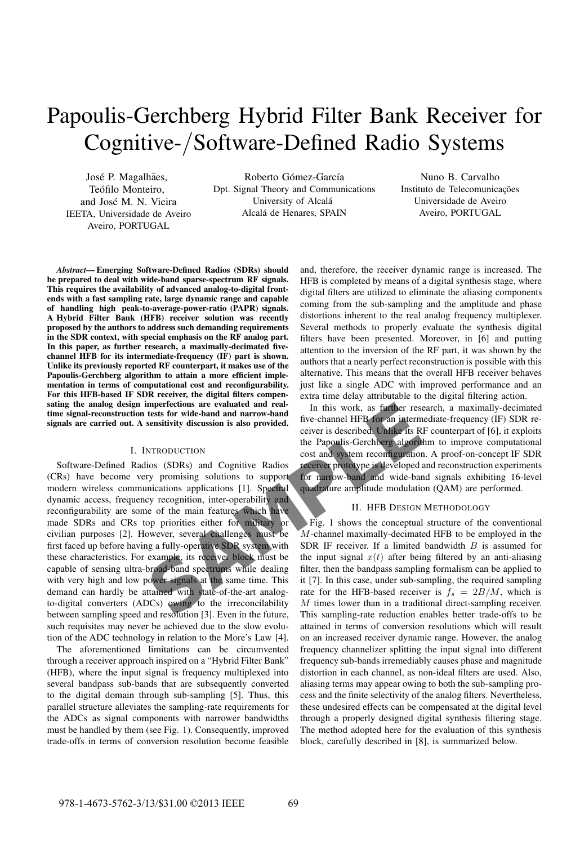# Papoulis-Gerchberg Hybrid Filter Bank Receiver for Cognitive-/Software-Defined Radio Systems

José P. Magalhães, Teófilo Monteiro. and José M. N. Vieira IEETA, Universidade de Aveiro Aveiro, PORTUGAL

Roberto Gómez-García Dpt. Signal Theory and Communications University of Alcalá Alcalá de Henares, SPAIN

Nuno B. Carvalho Instituto de Telecomunicações Universidade de Aveiro Aveiro, PORTUGAL

*Abstract***— Emerging Software-Defined Radios (SDRs) should be prepared to deal with wide-band sparse-spectrum RF signals. This requires the availability of advanced analog-to-digital frontends with a fast sampling rate, large dynamic range and capable of handling high peak-to-average-power-ratio (PAPR) signals. A Hybrid Filter Bank (HFB) receiver solution was recently proposed by the authors to address such demanding requirements in the SDR context, with special emphasis on the RF analog part. In this paper, as further research, a maximally-decimated fivechannel HFB for its intermediate-frequency (IF) part is shown. Unlike its previously reported RF counterpart, it makes use of the Papoulis-Gerchberg algorithm to attain a more efficient implementation in terms of computational cost and reconfigurability. For this HFB-based IF SDR receiver, the digital filters compensating the analog design imperfections are evaluated and realtime signal-reconstruction tests for wide-band and narrow-band signals are carried out. A sensitivity discussion is also provided.**

# I. INTRODUCTION

tests for wide-band and narrow-band<br>
sensitivity discussion is also provided.<br>
sensitivity discussion is also provided.<br>
the Papoulis-Gerchberg algor<br>
ios (SDRs) and Cognitive Radios receiver prototype is develope<br>
to and Software-Defined Radios (SDRs) and Cognitive Radios (CRs) have become very promising solutions to support modern wireless communications applications [1]. Spectral dynamic access, frequency recognition, inter-operability and reconfigurability are some of the main features which have made SDRs and CRs top priorities either for military or civilian purposes [2]. However, several challenges must be first faced up before having a fully-operative SDR system with these characteristics. For example, its receiver block must be capable of sensing ultra-broad-band spectrums while dealing with very high and low power signals at the same time. This demand can hardly be attained with state-of-the-art analogto-digital converters (ADCs) owing to the irreconcilability between sampling speed and resolution [3]. Even in the future, such requisites may never be achieved due to the slow evolution of the ADC technology in relation to the More's Law [4].

The aforementioned limitations can be circumvented through a receiver approach inspired on a "Hybrid Filter Bank" (HFB), where the input signal is frequency multiplexed into several bandpass sub-bands that are subsequently converted to the digital domain through sub-sampling [5]. Thus, this parallel structure alleviates the sampling-rate requirements for the ADCs as signal components with narrower bandwidths must be handled by them (see Fig. 1). Consequently, improved trade-offs in terms of conversion resolution become feasible and, therefore, the receiver dynamic range is increased. The HFB is completed by means of a digital synthesis stage, where digital filters are utilized to eliminate the aliasing components coming from the sub-sampling and the amplitude and phase distortions inherent to the real analog frequency multiplexer. Several methods to properly evaluate the synthesis digital filters have been presented. Moreover, in [6] and putting attention to the inversion of the RF part, it was shown by the authors that a nearly perfect reconstruction is possible with this alternative. This means that the overall HFB receiver behaves just like a single ADC with improved performance and an extra time delay attributable to the digital filtering action.

In this work, as further research, a maximally-decimated five-channel HFB for an intermediate-frequency (IF) SDR receiver is described. Unlike its RF counterpart of [6], it exploits the Papoulis-Gerchberg algorithm to improve computational cost and system reconfiguration. A proof-on-concept IF SDR receiver prototype is developed and reconstruction experiments for narrow-band and wide-band signals exhibiting 16-level quadrature amplitude modulation (QAM) are performed.

# II. HFB DESIGN METHODOLOGY

Fig. 1 shows the conceptual structure of the conventional M-channel maximally-decimated HFB to be employed in the SDR IF receiver. If a limited bandwidth  $B$  is assumed for the input signal  $x(t)$  after being filtered by an anti-aliasing filter, then the bandpass sampling formalism can be applied to it [7]. In this case, under sub-sampling, the required sampling rate for the HFB-based receiver is  $f_s = 2B/M$ , which is M times lower than in a traditional direct-sampling receiver. This sampling-rate reduction enables better trade-offs to be attained in terms of conversion resolutions which will result on an increased receiver dynamic range. However, the analog frequency channelizer splitting the input signal into different frequency sub-bands irremediably causes phase and magnitude distortion in each channel, as non-ideal filters are used. Also, aliasing terms may appear owing to both the sub-sampling process and the finite selectivity of the analog filters. Nevertheless, these undesired effects can be compensated at the digital level through a properly designed digital synthesis filtering stage. The method adopted here for the evaluation of this synthesis block, carefully described in [8], is summarized below.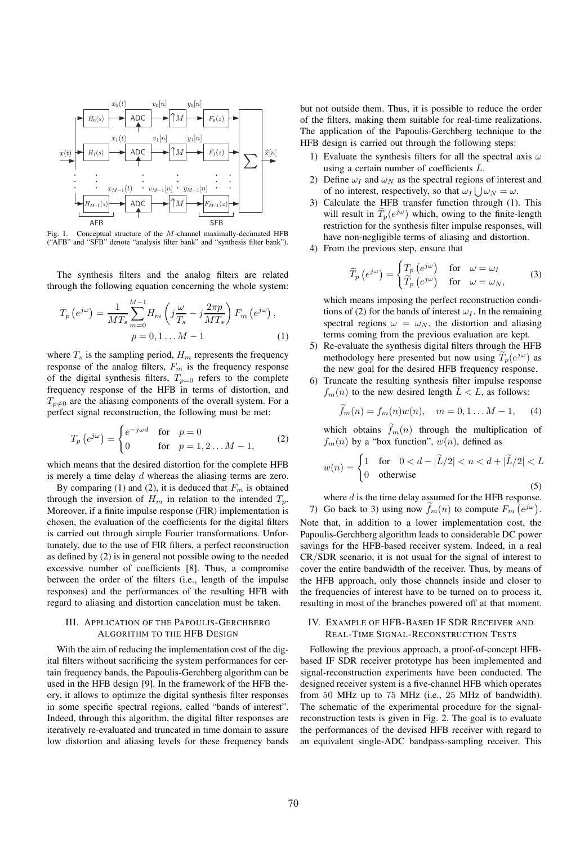

Fig. 1. Conceptual structure of the M-channel maximally-decimated HFB ("AFB" and "SFB" denote "analysis filter bank" and "synthesis filter bank").

The synthesis filters and the analog filters are related through the following equation concerning the whole system:

$$
T_p\left(e^{j\omega}\right) = \frac{1}{MT_s} \sum_{m=0}^{M-1} H_m\left(j\frac{\omega}{T_s} - j\frac{2\pi p}{MT_s}\right) F_m\left(e^{j\omega}\right),
$$
  
\n
$$
p = 0, 1 \dots M - 1 \tag{1}
$$

where  $T_s$  is the sampling period,  $H_m$  represents the frequency response of the analog filters,  $F_m$  is the frequency response of the digital synthesis filters,  $T_{p=0}$  refers to the complete frequency response of the HFB in terms of distortion, and  $T_{p\neq0}$  are the aliasing components of the overall system. For a perfect signal reconstruction, the following must be met:

$$
T_p\left(e^{j\omega}\right) = \begin{cases} e^{-j\omega d} & \text{for } p = 0\\ 0 & \text{for } p = 1, 2 \dots M - 1, \end{cases}
$$
 (2)

which means that the desired distortion for the complete HFB is merely a time delay d whereas the aliasing terms are zero.

By comparing (1) and (2), it is deduced that  $F_m$  is obtained through the inversion of  $H_m$  in relation to the intended  $T_p$ . Moreover, if a finite impulse response (FIR) implementation is chosen, the evaluation of the coefficients for the digital filters is carried out through simple Fourier transformations. Unfortunately, due to the use of FIR filters, a perfect reconstruction as defined by (2) is in general not possible owing to the needed excessive number of coefficients [8]. Thus, a compromise between the order of the filters (i.e., length of the impulse responses) and the performances of the resulting HFB with regard to aliasing and distortion cancelation must be taken.

# III. APPLICATION OF THE PAPOULIS-GERCHBERG ALGORITHM TO THE HFB DESIGN

With the aim of reducing the implementation cost of the digital filters without sacrificing the system performances for certain frequency bands, the Papoulis-Gerchberg algorithm can be used in the HFB design [9]. In the framework of the HFB theory, it allows to optimize the digital synthesis filter responses in some specific spectral regions, called "bands of interest". Indeed, through this algorithm, the digital filter responses are iteratively re-evaluated and truncated in time domain to assure low distortion and aliasing levels for these frequency bands but not outside them. Thus, it is possible to reduce the order of the filters, making them suitable for real-time realizations. The application of the Papoulis-Gerchberg technique to the HFB design is carried out through the following steps:

- 1) Evaluate the synthesis filters for all the spectral axis  $\omega$ using a certain number of coefficients L.
- 2) Define  $\omega_I$  and  $\omega_N$  as the spectral regions of interest and of no interest, respectively, so that  $\omega_I \bigcup \omega_N = \omega$ .
- 3) Calculate the HFB transfer function through (1). This will result in  $\hat{T}_p(e^{j\omega})$  which, owing to the finite-length restriction for the synthesis filter impulse responses, will have non-negligible terms of aliasing and distortion.
- 4) From the previous step, ensure that

$$
\widetilde{T}_p\left(e^{j\omega}\right) = \begin{cases} T_p\left(e^{j\omega}\right) & \text{for } \omega = \omega_I\\ \widetilde{T}_p\left(e^{j\omega}\right) & \text{for } \omega = \omega_N, \end{cases}
$$
\n(3)

which means imposing the perfect reconstruction conditions of (2) for the bands of interest  $\omega_I$ . In the remaining spectral regions  $\omega = \omega_N$ , the distortion and aliasing terms coming from the previous evaluation are kept.

- 5) Re-evaluate the synthesis digital filters through the HFB methodology here presented but now using  $T_p(e^{j\omega})$  as the new goal for the desired HFB frequency response.
- 6) Truncate the resulting synthesis filter impulse response  $f_m(n)$  to the new desired length  $L < L$ , as follows:

$$
\widetilde{f}_m(n) = f_m(n)w(n), \quad m = 0, 1...M - 1,
$$
 (4)

which obtains  $\widetilde{f}_m(n)$  through the multiplication of  $f_m(n)$  by a "box function",  $w(n)$ , defined as

$$
w(n) = \begin{cases} 1 & \text{for} \quad 0 < d - |\widetilde{L}/2| < n < d + |\widetilde{L}/2| < L \\ 0 & \text{otherwise} \end{cases} \tag{5}
$$

where  $d$  is the time delay assumed for the HFB response. 7) Go back to 3) using now  $\tilde{f}_m(n)$  to compute  $F_m(e^{j\omega})$ . Note that, in addition to a lower implementation cost, the Papoulis-Gerchberg algorithm leads to considerable DC power savings for the HFB-based receiver system. Indeed, in a real

CR/SDR scenario, it is not usual for the signal of interest to cover the entire bandwidth of the receiver. Thus, by means of the HFB approach, only those channels inside and closer to the frequencies of interest have to be turned on to process it, resulting in most of the branches powered off at that moment.

# IV. EXAMPLE OF HFB-BASED IF SDR RECEIVER AND REAL-TIME SIGNAL-RECONSTRUCTION TESTS

Following the previous approach, a proof-of-concept HFBbased IF SDR receiver prototype has been implemented and signal-reconstruction experiments have been conducted. The designed receiver system is a five-channel HFB which operates from 50 MHz up to 75 MHz (i.e., 25 MHz of bandwidth). The schematic of the experimental procedure for the signalreconstruction tests is given in Fig. 2. The goal is to evaluate the performances of the devised HFB receiver with regard to an equivalent single-ADC bandpass-sampling receiver. This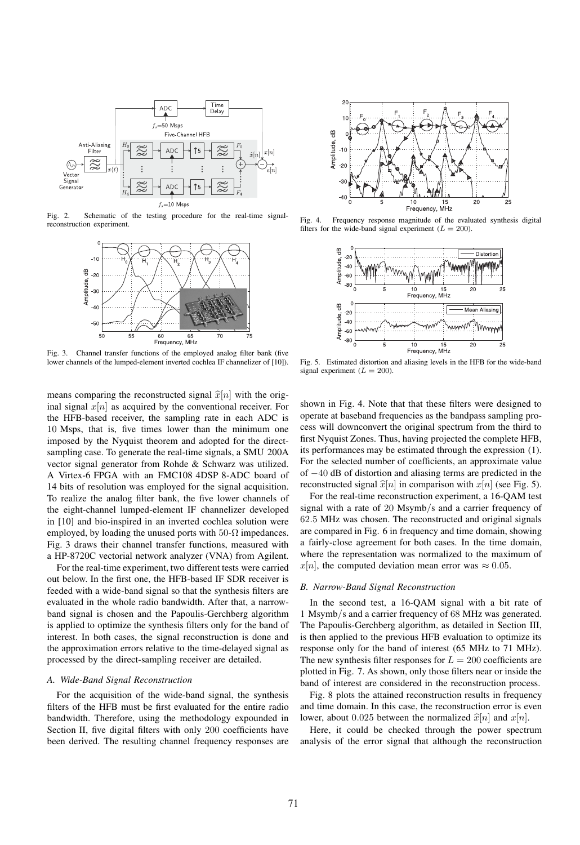

Fig. 2. Schematic of the testing procedure for the real-time signalreconstruction experiment.



Fig. 3. Channel transfer functions of the employed analog filter bank (five lower channels of the lumped-element inverted cochlea IF channelizer of [10]).

means comparing the reconstructed signal  $\hat{x}[n]$  with the original signal  $x[n]$  as acquired by the conventional receiver. For the HFB-based receiver, the sampling rate in each ADC is 10 Msps, that is, five times lower than the minimum one imposed by the Nyquist theorem and adopted for the directsampling case. To generate the real-time signals, a SMU 200A vector signal generator from Rohde & Schwarz was utilized. A Virtex-6 FPGA with an FMC108 4DSP 8-ADC board of 14 bits of resolution was employed for the signal acquisition. To realize the analog filter bank, the five lower channels of the eight-channel lumped-element IF channelizer developed in [10] and bio-inspired in an inverted cochlea solution were employed, by loading the unused ports with  $50-\Omega$  impedances. Fig. 3 draws their channel transfer functions, measured with a HP-8720C vectorial network analyzer (VNA) from Agilent.

For the real-time experiment, two different tests were carried out below. In the first one, the HFB-based IF SDR receiver is feeded with a wide-band signal so that the synthesis filters are evaluated in the whole radio bandwidth. After that, a narrowband signal is chosen and the Papoulis-Gerchberg algorithm is applied to optimize the synthesis filters only for the band of interest. In both cases, the signal reconstruction is done and the approximation errors relative to the time-delayed signal as processed by the direct-sampling receiver are detailed.

## *A. Wide-Band Signal Reconstruction*

For the acquisition of the wide-band signal, the synthesis filters of the HFB must be first evaluated for the entire radio bandwidth. Therefore, using the methodology expounded in Section II, five digital filters with only 200 coefficients have been derived. The resulting channel frequency responses are



Fig. 4. Frequency response magnitude of the evaluated synthesis digital filters for the wide-band signal experiment ( $L = 200$ ).



Fig. 5. Estimated distortion and aliasing levels in the HFB for the wide-band signal experiment  $(L = 200)$ .

shown in Fig. 4. Note that that these filters were designed to operate at baseband frequencies as the bandpass sampling process will downconvert the original spectrum from the third to first Nyquist Zones. Thus, having projected the complete HFB, its performances may be estimated through the expression (1). For the selected number of coefficients, an approximate value of −40 dB of distortion and aliasing terms are predicted in the reconstructed signal  $\hat{x}[n]$  in comparison with  $x[n]$  (see Fig. 5).

For the real-time reconstruction experiment, a 16-QAM test signal with a rate of 20 Msymb/s and a carrier frequency of 62.5 MHz was chosen. The reconstructed and original signals are compared in Fig. 6 in frequency and time domain, showing a fairly-close agreement for both cases. In the time domain, where the representation was normalized to the maximum of  $x[n]$ , the computed deviation mean error was  $\approx 0.05$ .

## *B. Narrow-Band Signal Reconstruction*

In the second test, a 16-QAM signal with a bit rate of 1 Msymb/s and a carrier frequency of 68 MHz was generated. The Papoulis-Gerchberg algorithm, as detailed in Section III, is then applied to the previous HFB evaluation to optimize its response only for the band of interest (65 MHz to 71 MHz). The new synthesis filter responses for  $L = 200$  coefficients are plotted in Fig. 7. As shown, only those filters near or inside the band of interest are considered in the reconstruction process.

Fig. 8 plots the attained reconstruction results in frequency and time domain. In this case, the reconstruction error is even lower, about 0.025 between the normalized  $\hat{x}[n]$  and  $x[n]$ .

Here, it could be checked through the power spectrum analysis of the error signal that although the reconstruction